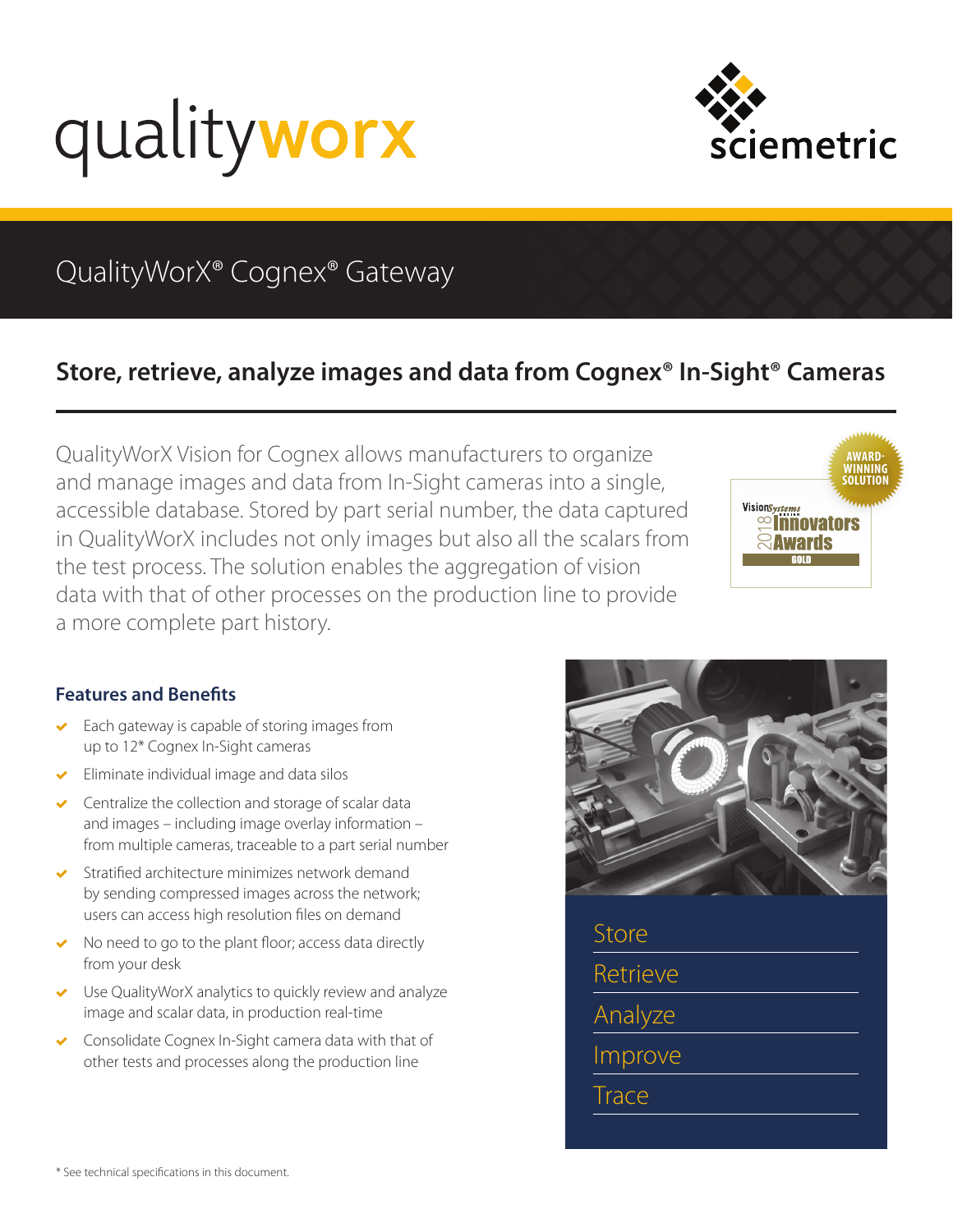



# QualityWorX® Cognex® Gateway

## **Store, retrieve, analyze images and data from Cognex® In-Sight® Cameras**

QualityWorX Vision for Cognex allows manufacturers to organize and manage images and data from In-Sight cameras into a single, accessible database. Stored by part serial number, the data captured in QualityWorX includes not only images but also all the scalars from the test process. The solution enables the aggregation of vision data with that of other processes on the production line to provide a more complete part history.



### **Features and Benefits**

- Each gateway is capable of storing images from up to 12\* Cognex In-Sight cameras
- Eliminate individual image and data silos
- Centralize the collection and storage of scalar data and images – including image overlay information – from multiple cameras, traceable to a part serial number
- Stratified architecture minimizes network demand by sending compressed images across the network; users can access high resolution files on demand
- No need to go to the plant floor; access data directly from your desk
- Use QualityWorX analytics to quickly review and analyze image and scalar data, in production real-time
- Consolidate Cognex In-Sight camera data with that of other tests and processes along the production line



Store **Retrieve** Analyze Improve Trace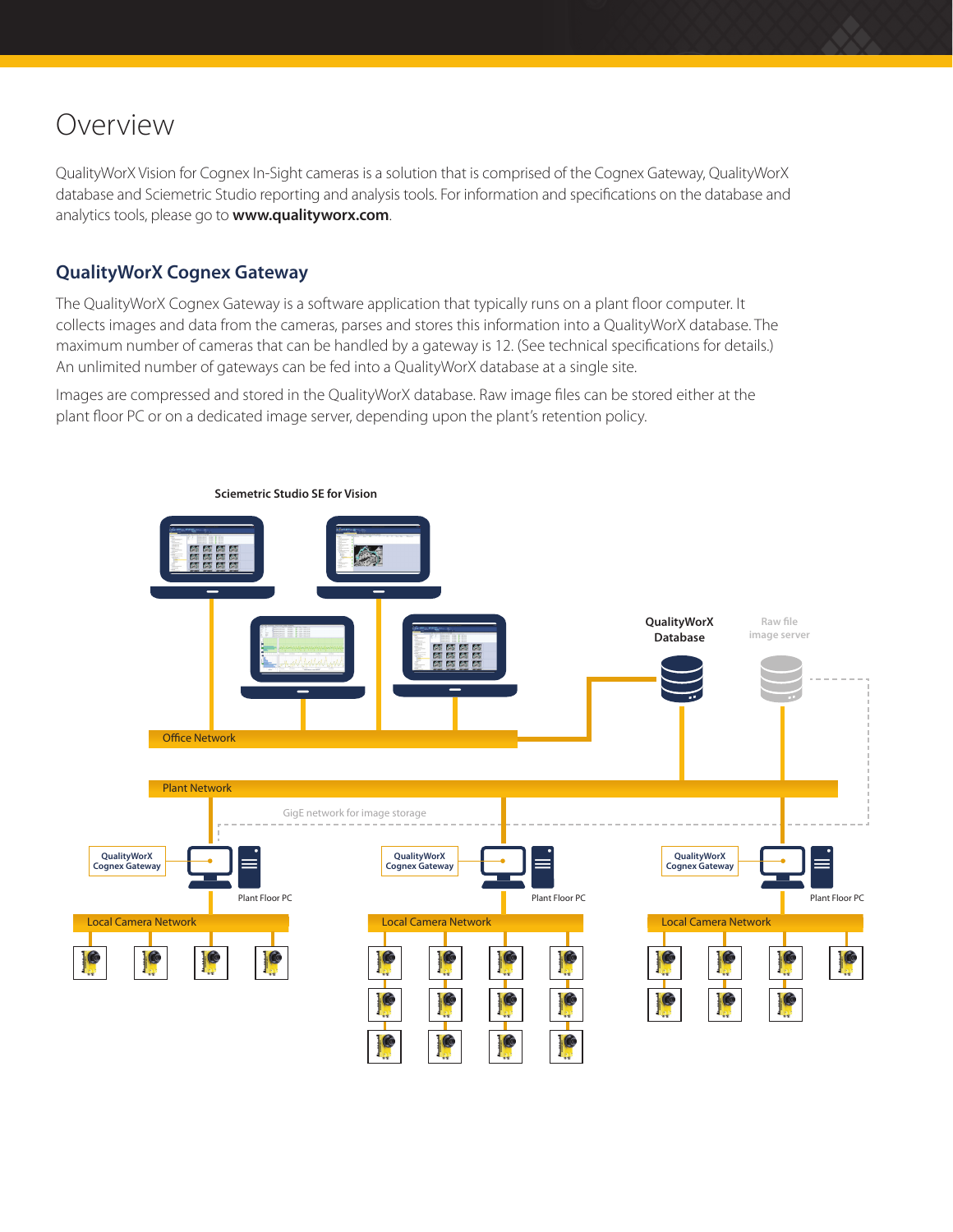# Overview

QualityWorX Vision for Cognex In-Sight cameras is a solution that is comprised of the Cognex Gateway, QualityWorX database and Sciemetric Studio reporting and analysis tools. For information and specifications on the database and analytics tools, please go to **[www.qualityworx.com](http://www.qualityworx.com)**.

### **QualityWorX Cognex Gateway**

The QualityWorX Cognex Gateway is a software application that typically runs on a plant floor computer. It collects images and data from the cameras, parses and stores this information into a QualityWorX database. The maximum number of cameras that can be handled by a gateway is 12. (See technical specifications for details.) An unlimited number of gateways can be fed into a QualityWorX database at a single site.

Images are compressed and stored in the QualityWorX database. Raw image files can be stored either at the plant floor PC or on a dedicated image server, depending upon the plant's retention policy.